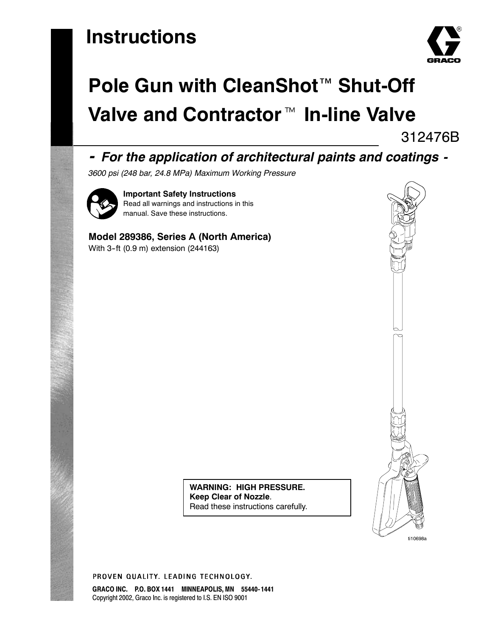# **Instructions**



# **Pole Gun with CleanShot**™ **Shut-Off** Valve and Contractor<sup>™</sup> In-line Valve

312476B

## *- For the application of architectural paints and coatings -*

*3600 psi (248 bar, 24.8 MPa) Maximum Working Pressure*



**Important Safety Instructions** Read all warnings and instructions in this manual. Save these instructions.

### **Model 289386, Series A (North America)**

With 3-ft (0.9 m) extension (244163)



**WARNING: HIGH PRESSURE. Keep Clear of Nozzle**. Read these instructions carefully.

PROVEN QUALITY, LEADING TECHNOLOGY.

**GRACO INC. P.O. BOX 1441 MINNEAPOLIS, MN 55440- 1441** Copyright 2002, Graco Inc. is registered to I.S. EN ISO 9001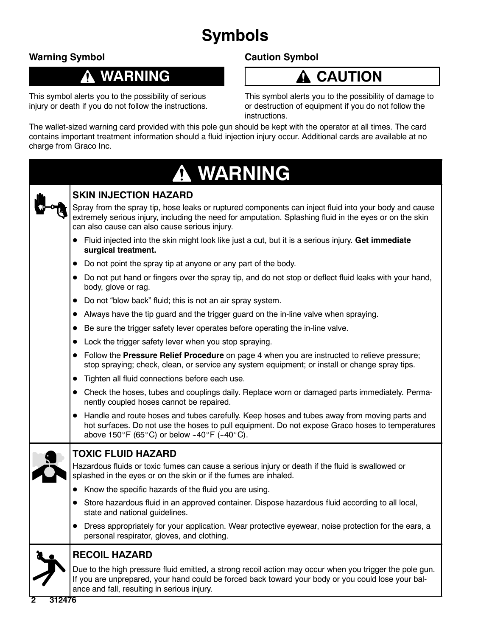# **Symbols**

### **Warning Symbol**

# **WARNING**

This symbol alerts you to the possibility of serious injury or death if you do not follow the instructions. **Caution Symbol**

# **CAUTION**

This symbol alerts you to the possibility of damage to or destruction of equipment if you do not follow the instructions.

The wallet-sized warning card provided with this pole gun should be kept with the operator at all times. The card contains important treatment information should a fluid injection injury occur. Additional cards are available at no charge from Graco Inc.

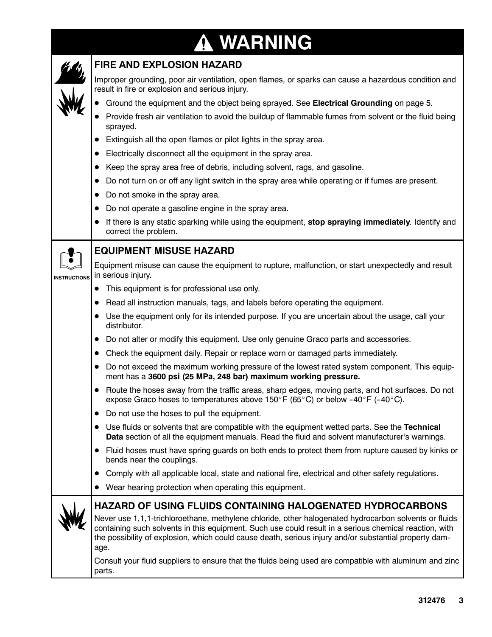# **WARNING**

|                     | <b>FIRE AND EXPLOSION HAZARD</b>                                                                                                                                                                                                                                                                                                                                                                       |
|---------------------|--------------------------------------------------------------------------------------------------------------------------------------------------------------------------------------------------------------------------------------------------------------------------------------------------------------------------------------------------------------------------------------------------------|
|                     | Improper grounding, poor air ventilation, open flames, or sparks can cause a hazardous condition and<br>result in fire or explosion and serious injury.                                                                                                                                                                                                                                                |
|                     | Ground the equipment and the object being sprayed. See Electrical Grounding on page 5.                                                                                                                                                                                                                                                                                                                 |
|                     | Provide fresh air ventilation to avoid the buildup of flammable fumes from solvent or the fluid being<br>sprayed.                                                                                                                                                                                                                                                                                      |
|                     | Extinguish all the open flames or pilot lights in the spray area.                                                                                                                                                                                                                                                                                                                                      |
|                     | Electrically disconnect all the equipment in the spray area.                                                                                                                                                                                                                                                                                                                                           |
|                     | Keep the spray area free of debris, including solvent, rags, and gasoline.                                                                                                                                                                                                                                                                                                                             |
|                     | Do not turn on or off any light switch in the spray area while operating or if fumes are present.                                                                                                                                                                                                                                                                                                      |
|                     | Do not smoke in the spray area.<br>$\bullet$                                                                                                                                                                                                                                                                                                                                                           |
|                     | Do not operate a gasoline engine in the spray area.<br>$\bullet$                                                                                                                                                                                                                                                                                                                                       |
|                     | If there is any static sparking while using the equipment, stop spraying immediately. Identify and<br>$\bullet$<br>correct the problem.                                                                                                                                                                                                                                                                |
|                     | <b>EQUIPMENT MISUSE HAZARD</b>                                                                                                                                                                                                                                                                                                                                                                         |
| <b>INSTRUCTIONS</b> | Equipment misuse can cause the equipment to rupture, malfunction, or start unexpectedly and result<br>in serious injury.                                                                                                                                                                                                                                                                               |
|                     | This equipment is for professional use only.                                                                                                                                                                                                                                                                                                                                                           |
|                     | Read all instruction manuals, tags, and labels before operating the equipment.                                                                                                                                                                                                                                                                                                                         |
|                     | Use the equipment only for its intended purpose. If you are uncertain about the usage, call your<br>distributor.                                                                                                                                                                                                                                                                                       |
|                     | Do not alter or modify this equipment. Use only genuine Graco parts and accessories.<br>$\bullet$                                                                                                                                                                                                                                                                                                      |
|                     | Check the equipment daily. Repair or replace worn or damaged parts immediately.<br>$\bullet$                                                                                                                                                                                                                                                                                                           |
|                     | Do not exceed the maximum working pressure of the lowest rated system component. This equip-<br>$\bullet$<br>ment has a 3600 psi (25 MPa, 248 bar) maximum working pressure.                                                                                                                                                                                                                           |
|                     | Route the hoses away from the traffic areas, sharp edges, moving parts, and hot surfaces. Do not<br>$\bullet$<br>expose Graco hoses to temperatures above 150°F (65°C) or below -40°F (-40°C).                                                                                                                                                                                                         |
|                     | Do not use the hoses to pull the equipment.<br>$\bullet$                                                                                                                                                                                                                                                                                                                                               |
|                     | Use fluids or solvents that are compatible with the equipment wetted parts. See the Technical<br>$\bullet$<br>Data section of all the equipment manuals. Read the fluid and solvent manufacturer's warnings.                                                                                                                                                                                           |
|                     | Fluid hoses must have spring guards on both ends to protect them from rupture caused by kinks or<br>$\bullet$<br>bends near the couplings.                                                                                                                                                                                                                                                             |
|                     | Comply with all applicable local, state and national fire, electrical and other safety regulations.<br>$\bullet$                                                                                                                                                                                                                                                                                       |
|                     | Wear hearing protection when operating this equipment.                                                                                                                                                                                                                                                                                                                                                 |
|                     | <b>HAZARD OF USING FLUIDS CONTAINING HALOGENATED HYDROCARBONS</b><br>Never use 1,1,1-trichloroethane, methylene chloride, other halogenated hydrocarbon solvents or fluids<br>containing such solvents in this equipment. Such use could result in a serious chemical reaction, with<br>the possibility of explosion, which could cause death, serious injury and/or substantial property dam-<br>age. |
|                     | Consult your fluid suppliers to ensure that the fluids being used are compatible with aluminum and zinc<br>parts.                                                                                                                                                                                                                                                                                      |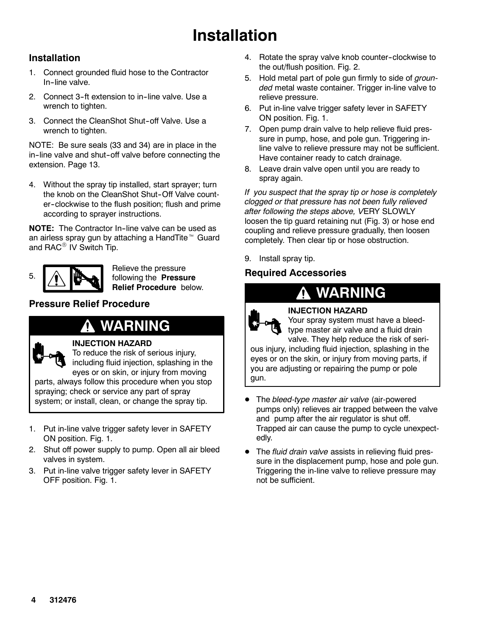# **Installation**

### **Installation**

- 1. Connect grounded fluid hose to the Contractor In-line valve.
- 2. Connect 3-ft extension to in-line valve. Use a wrench to tighten.
- 3. Connect the CleanShot Shut-off Valve. Use a wrench to tighten.

NOTE: Be sure seals (33 and 34) are in place in the in-line valve and shut-off valve before connecting the extension. Page 13.

4. Without the spray tip installed, start sprayer; turn the knob on the CleanShot Shut-Off Valve counter--clockwise to the flush position; flush and prime according to sprayer instructions.

**NOTE:** The Contractor In-line valve can be used as an airless spray gun by attaching a HandTite™ Guard and  $RAC^{\circledR}$  IV Switch Tip.



Relieve the pressure following the **Pressure Relief Procedure** below.

### **Pressure Relief Procedure**

# **WARNING**

### **INJECTION HAZARD**

To reduce the risk of serious injury, including fluid injection, splashing in the eyes or on skin, or injury from moving parts, always follow this procedure when you stop spraying; check or service any part of spray

system; or install, clean, or change the spray tip.

- 1. Put in-line valve trigger safety lever in SAFETY ON position. Fig. 1.
- 2. Shut off power supply to pump. Open all air bleed valves in system.
- 3. Put in-line valve trigger safety lever in SAFETY OFF position. Fig. 1.
- 4. Rotate the spray valve knob counter-clockwise to the out/flush position. Fig. 2.
- 5. Hold metal part of pole gun firmly to side of *grounded* metal waste container. Trigger in-line valve to relieve pressure.
- 6. Put in-line valve trigger safety lever in SAFETY ON position. Fig. 1.
- 7. Open pump drain valve to help relieve fluid pressure in pump, hose, and pole gun. Triggering inline valve to relieve pressure may not be sufficient. Have container ready to catch drainage.
- 8. Leave drain valve open until you are ready to spray again.

*If you suspect that the spray tip or hose is completely clogged or that pressure has not been fully relieved after following the steps above, V*ERY SLOWLY loosen the tip guard retaining nut (Fig. 3) or hose end coupling and relieve pressure gradually, then loosen completely. Then clear tip or hose obstruction.

9. Install spray tip.

### **Required Accessories**

# **WARNING**



### **INJECTION HAZARD**

Your spray system must have a bleedtype master air valve and a fluid drain valve. They help reduce the risk of seri-

ous injury, including fluid injection, splashing in the eyes or on the skin, or injury from moving parts, if you are adjusting or repairing the pump or pole gun.

- The *bleed-type master air valve* (air-powered pumps only) relieves air trapped between the valve and pump after the air regulator is shut off. Trapped air can cause the pump to cycle unexpectedly.
- The *fluid drain valve* assists in relieving fluid pressure in the displacement pump, hose and pole gun. Triggering the in-line valve to relieve pressure may not be sufficient.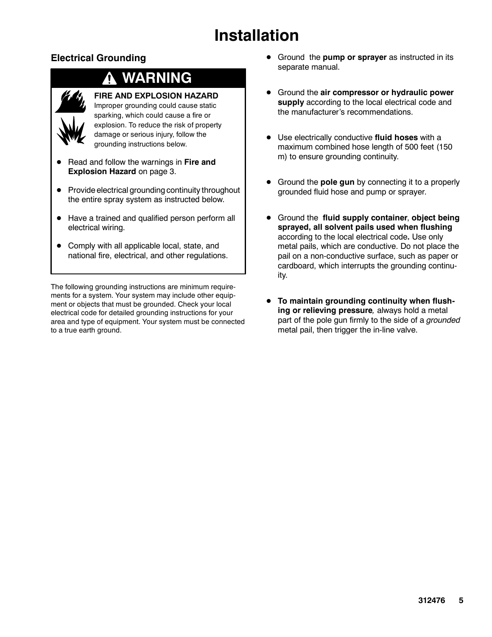# **Installation**

### **Electrical Grounding**



# **WARNING**

### **FIRE AND EXPLOSION HAZARD**

Improper grounding could cause static sparking, which could cause a fire or explosion. To reduce the risk of property damage or serious injury, follow the grounding instructions below.

- D Read and follow the warnings in **Fire and Explosion Hazard** on page 3.
- $\bullet$  Provide electrical grounding continuity throughout the entire spray system as instructed below.
- $\bullet$  Have a trained and qualified person perform all electrical wiring.
- Comply with all applicable local, state, and national fire, electrical, and other regulations.

The following grounding instructions are minimum requirements for a system. Your system may include other equipment or objects that must be grounded. Check your local electrical code for detailed grounding instructions for your area and type of equipment. Your system must be connected to a true earth ground.

- Ground the **pump or sprayer** as instructed in its separate manual.
- **•** Ground the air compressor or hydraulic power **supply** according to the local electrical code and the manufacturer's recommendations.
- D Use electrically conductive **fluid hoses** with a maximum combined hose length of 500 feet (150 m) to ensure grounding continuity.
- **•** Ground the **pole gun** by connecting it to a properly grounded fluid hose and pump or sprayer.
- D Ground the **fluid supply container**, **object being sprayed, all solvent pails used when flushing** according to the local electrical code**.** Use only metal pails, which are conductive. Do not place the pail on a non-conductive surface, such as paper or cardboard, which interrupts the grounding continuity.
- **•** To maintain grounding continuity when flush**ing or relieving pressure***,* always hold a metal part of the pole gun firmly to the side of a *grounded* metal pail, then trigger the in-line valve.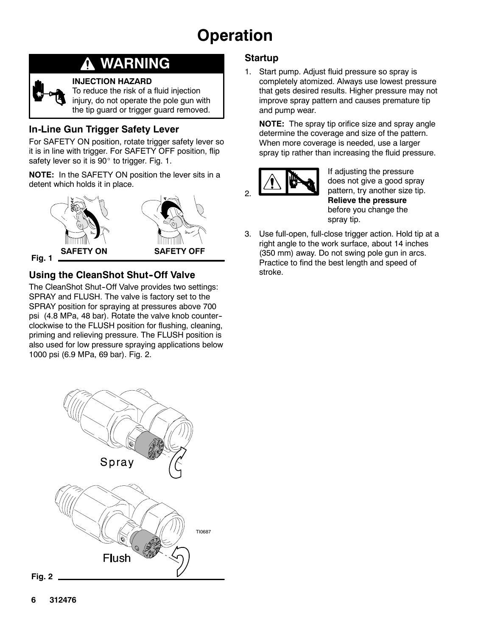

### **WARNING** Ţ.

### **INJECTION HAZARD**

To reduce the risk of a fluid injection injury, do not operate the pole gun with the tip guard or trigger guard removed.

### **In-Line Gun Trigger Safety Lever**

For SAFETY ON position, rotate trigger safety lever so it is in line with trigger. For SAFETY OFF position, flip safety lever so it is 90° to trigger. Fig. 1.

**NOTE:** In the SAFETY ON position the lever sits in a detent which holds it in place.



### **Fig. 1**

### **Using the CleanShot Shut-Off Valve**

The CleanShot Shut-Off Valve provides two settings: SPRAY and FLUSH. The valve is factory set to the SPRAY position for spraying at pressures above 700 psi (4.8 MPa, 48 bar). Rotate the valve knob counter- clockwise to the FLUSH position for flushing, cleaning, priming and relieving pressure. The FLUSH position is also used for low pressure spraying applications below 1000 psi (6.9 MPa, 69 bar). Fig. 2.

### **Startup**

1. Start pump. Adjust fluid pressure so spray is completely atomized. Always use lowest pressure that gets desired results. Higher pressure may not improve spray pattern and causes premature tip and pump wear.

**NOTE:** The spray tip orifice size and spray angle determine the coverage and size of the pattern. When more coverage is needed, use a larger spray tip rather than increasing the fluid pressure.



If adjusting the pressure does not give a good spray pattern, try another size tip. **Relieve the pressure** before you change the spray tip.

3. Use full-open, full-close trigger action. Hold tip at a right angle to the work surface, about 14 inches (350 mm) away. Do not swing pole gun in arcs. Practice to find the best length and speed of stroke.

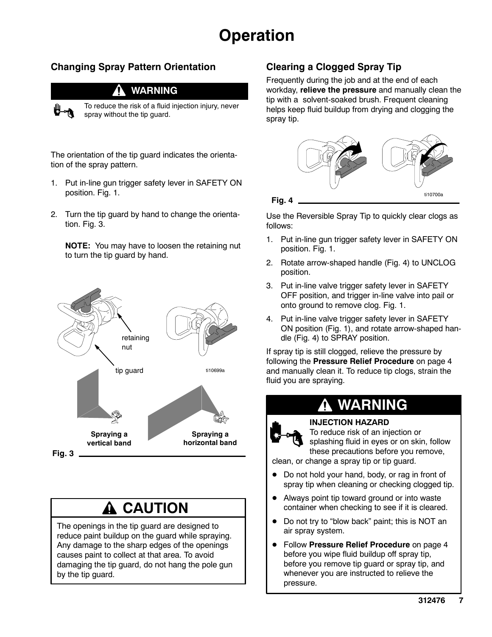### **Changing Spray Pattern Orientation**

### **WARNING**



To reduce the risk of a fluid injection injury, never spray without the tip guard.

The orientation of the tip guard indicates the orientation of the spray pattern.

- 1. Put in-line gun trigger safety lever in SAFETY ON position. Fig. 1.
- 2. Turn the tip guard by hand to change the orientation. Fig. 3.

**NOTE:** You may have to loosen the retaining nut to turn the tip guard by hand.



# **A CAUTION**

The openings in the tip guard are designed to reduce paint buildup on the guard while spraying. Any damage to the sharp edges of the openings causes paint to collect at that area. To avoid damaging the tip guard, do not hang the pole gun by the tip guard.

### **Clearing a Clogged Spray Tip**

Frequently during the job and at the end of each workday, **relieve the pressure** and manually clean the tip with a solvent-soaked brush. Frequent cleaning helps keep fluid buildup from drying and clogging the spray tip.



Use the Reversible Spray Tip to quickly clear clogs as follows:

- 1. Put in-line gun trigger safety lever in SAFETY ON position. Fig. 1.
- 2. Rotate arrow-shaped handle (Fig. 4) to UNCLOG position.
- 3. Put in-line valve trigger safety lever in SAFETY OFF position, and trigger in-line valve into pail or onto ground to remove clog. Fig. 1.
- 4. Put in-line valve trigger safety lever in SAFETY ON position (Fig. 1), and rotate arrow-shaped handle (Fig. 4) to SPRAY position.

If spray tip is still clogged, relieve the pressure by following the **Pressure Relief Procedure** on page 4 and manually clean it. To reduce tip clogs, strain the fluid you are spraying.



### **INJECTION HAZARD**

To reduce risk of an injection or splashing fluid in eyes or on skin, follow these precautions before you remove,

clean, or change a spray tip or tip guard.

- $\bullet$  Do not hold your hand, body, or rag in front of spray tip when cleaning or checking clogged tip.
- Always point tip toward ground or into waste container when checking to see if it is cleared.
- Do not try to "blow back" paint; this is NOT an air spray system.
- **Follow Pressure Relief Procedure** on page 4 before you wipe fluid buildup off spray tip, before you remove tip guard or spray tip, and whenever you are instructed to relieve the pressure.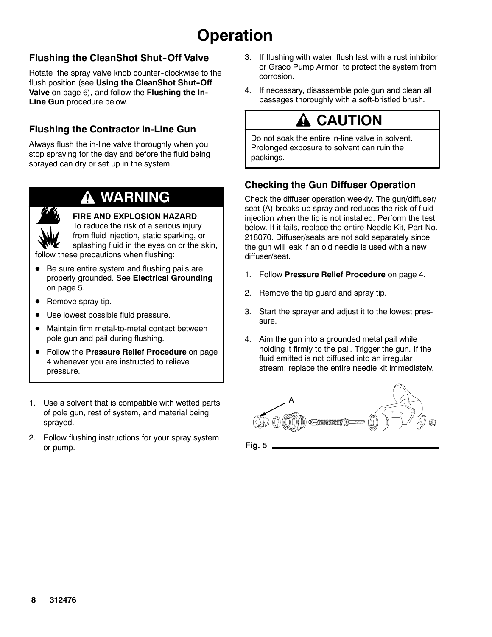### **Flushing the CleanShot Shut-Off Valve**

Rotate the spray valve knob counter-clockwise to the flush position (see Using the CleanShot Shut-Off **Valve** on page 6), and follow the **Flushing the In-Line Gun** procedure below.

### **Flushing the Contractor In-Line Gun**

Always flush the in-line valve thoroughly when you stop spraying for the day and before the fluid being sprayed can dry or set up in the system.

# **WARNING**

### **FIRE AND EXPLOSION HAZARD**

To reduce the risk of a serious injury from fluid injection, static sparking, or splashing fluid in the eyes on or the skin, follow these precautions when flushing:

- $\bullet$  Be sure entire system and flushing pails are properly grounded. See **Electrical Grounding** on page 5.
- $\bullet$  Remove spray tip.
- Use lowest possible fluid pressure.
- Maintain firm metal-to-metal contact between pole gun and pail during flushing.
- **Follow the Pressure Relief Procedure** on page 4 whenever you are instructed to relieve pressure.
- 1. Use a solvent that is compatible with wetted parts of pole gun, rest of system, and material being sprayed.
- 2. Follow flushing instructions for your spray system or pump.
- 3. If flushing with water, flush last with a rust inhibitor or Graco Pump Armor to protect the system from corrosion.
- 4. If necessary, disassemble pole gun and clean all passages thoroughly with a soft-bristled brush.

# $\mathbf{\Lambda}$  CAUTION

Do not soak the entire in-line valve in solvent. Prolonged exposure to solvent can ruin the packings.

### **Checking the Gun Diffuser Operation**

Check the diffuser operation weekly. The gun/diffuser/ seat (A) breaks up spray and reduces the risk of fluid injection when the tip is not installed. Perform the test below. If it fails, replace the entire Needle Kit, Part No. 218070. Diffuser/seats are not sold separately since the gun will leak if an old needle is used with a new diffuser/seat.

- 1. Follow **Pressure Relief Procedure** on page 4.
- 2. Remove the tip guard and spray tip.
- 3. Start the sprayer and adjust it to the lowest pressure.
- 4. Aim the gun into a grounded metal pail while holding it firmly to the pail. Trigger the gun. If the fluid emitted is not diffused into an irregular stream, replace the entire needle kit immediately.



**Fig. 5**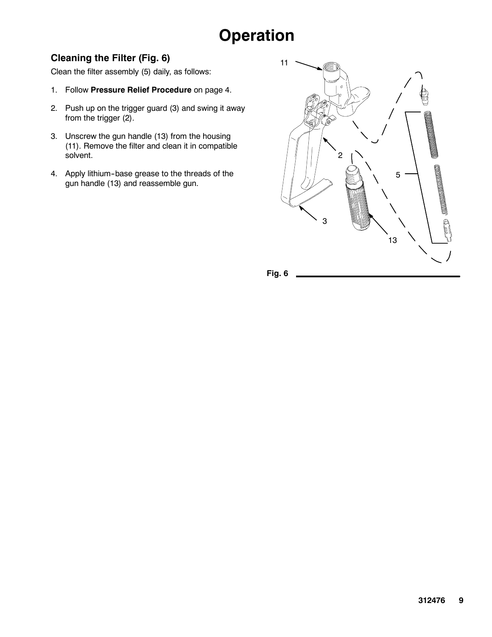### **Cleaning the Filter (Fig. 6)**

Clean the filter assembly (5) daily, as follows:

- 1. Follow **Pressure Relief Procedure** on page 4.
- 2. Push up on the trigger guard (3) and swing it away from the trigger (2).
- 3. Unscrew the gun handle (13) from the housing (11). Remove the filter and clean it in compatible solvent.
- 4. Apply lithium-base grease to the threads of the gun handle (13) and reassemble gun.

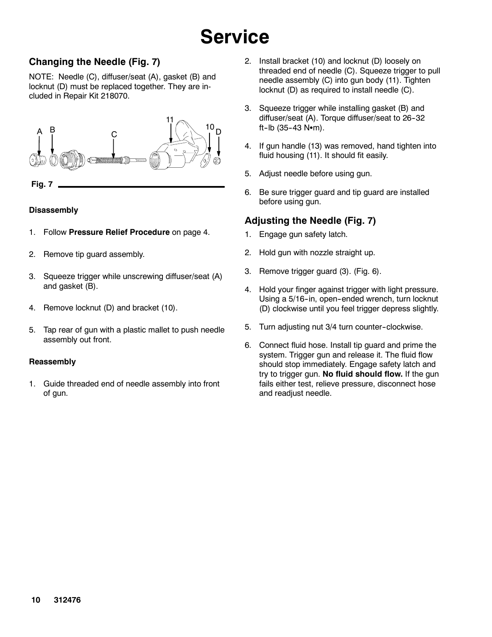# **Service**

### **Changing the Needle (Fig. 7)**

NOTE: Needle (C), diffuser/seat (A), gasket (B) and locknut (D) must be replaced together. They are included in Repair Kit 218070.



### **Disassembly**

- 1. Follow **Pressure Relief Procedure** on page 4.
- 2. Remove tip guard assembly.
- 3. Squeeze trigger while unscrewing diffuser/seat (A) and gasket (B).
- 4. Remove locknut (D) and bracket (10).
- 5. Tap rear of gun with a plastic mallet to push needle assembly out front.

### **Reassembly**

1. Guide threaded end of needle assembly into front of gun.

- 2. Install bracket (10) and locknut (D) loosely on threaded end of needle (C). Squeeze trigger to pull needle assembly (C) into gun body (11). Tighten locknut (D) as required to install needle (C).
- 3. Squeeze trigger while installing gasket (B) and diffuser/seat (A). Torque diffuser/seat to 26-32 ft-lb  $(35-43 \text{ N} \cdot \text{m})$ .
- 4. If gun handle (13) was removed, hand tighten into fluid housing (11). It should fit easily.
- 5. Adjust needle before using gun.
- 6. Be sure trigger guard and tip guard are installed before using gun.

### **Adjusting the Needle (Fig. 7)**

- 1. Engage gun safety latch.
- 2. Hold gun with nozzle straight up.
- 3. Remove trigger guard (3). (Fig. 6).
- 4. Hold your finger against trigger with light pressure. Using a 5/16-in, open-ended wrench, turn locknut (D) clockwise until you feel trigger depress slightly.
- 5. Turn adjusting nut 3/4 turn counter-clockwise.
- 6. Connect fluid hose. Install tip guard and prime the system. Trigger gun and release it. The fluid flow should stop immediately. Engage safety latch and try to trigger gun. **No fluid should flow.** If the gun fails either test, relieve pressure, disconnect hose and readjust needle.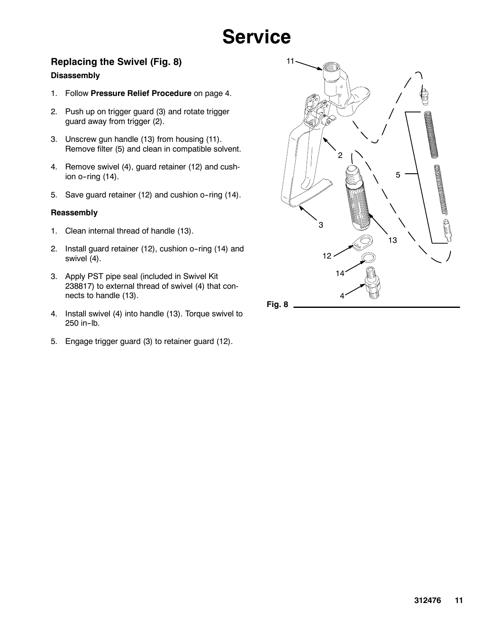# **Service**

### **Replacing the Swivel (Fig. 8)**

### **Disassembly**

- 1. Follow **Pressure Relief Procedure** on page 4.
- 2. Push up on trigger guard (3) and rotate trigger guard away from trigger (2).
- 3. Unscrew gun handle (13) from housing (11). Remove filter (5) and clean in compatible solvent.
- 4. Remove swivel (4), guard retainer (12) and cushion  $o$ -ring  $(14)$ .
- 5. Save guard retainer (12) and cushion o-ring (14).

### **Reassembly**

- 1. Clean internal thread of handle (13).
- 2. Install guard retainer (12), cushion o--ring (14) and swivel (4).
- 3. Apply PST pipe seal (included in Swivel Kit 238817) to external thread of swivel (4) that connects to handle (13).
- 4. Install swivel (4) into handle (13). Torque swivel to 250 in-lb.
- 5. Engage trigger guard (3) to retainer guard (12).

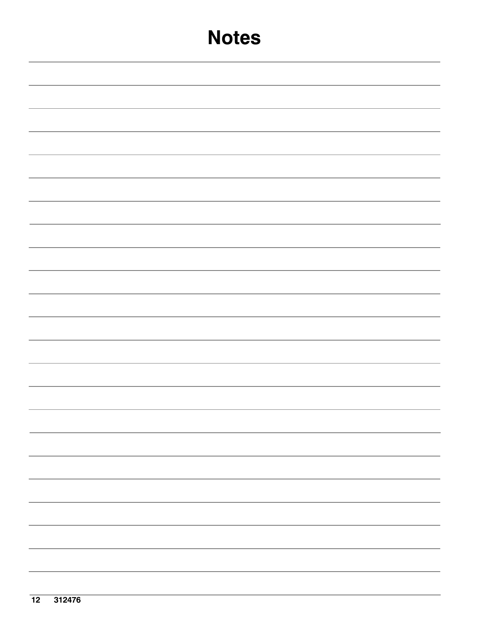# **Notes**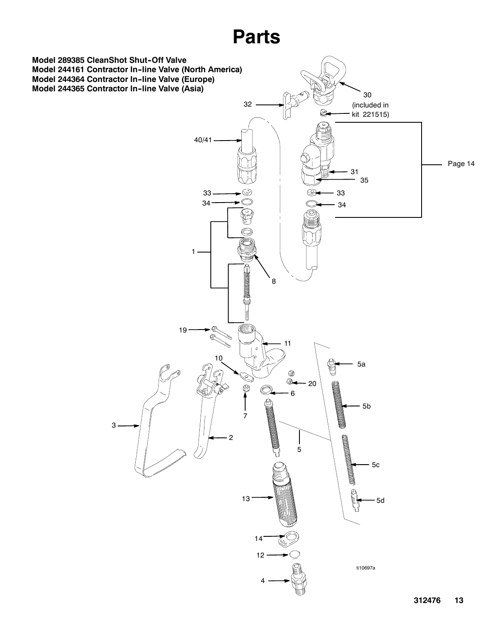# **Parts**

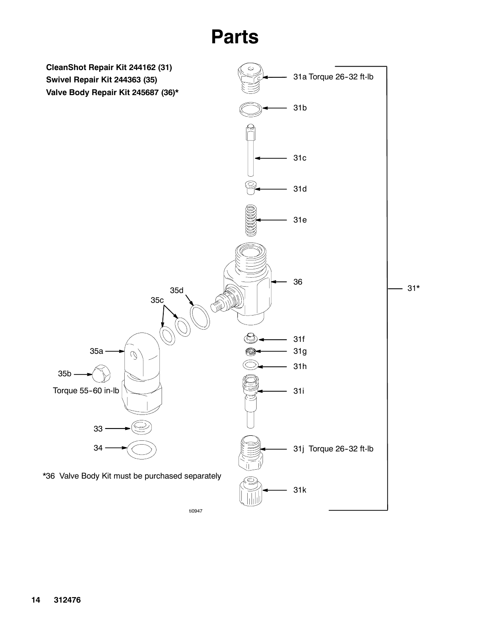

ti0947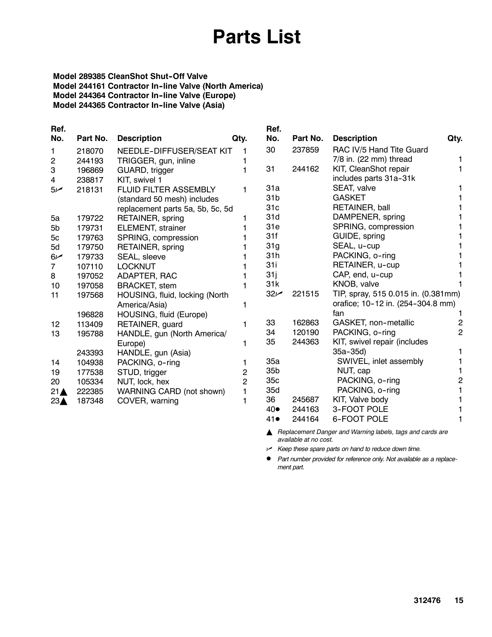# **Parts List**

### **Model 289385 CleanShot Shut-Off Valve Model 244161 Contractor In--line Valve (North America) Model 244364 Contractor In--line Valve (Europe) Model 244365 Contractor In--line Valve (Asia)**

| Ref.            |          |                                  |                | Ref.            |          |                                     |                |
|-----------------|----------|----------------------------------|----------------|-----------------|----------|-------------------------------------|----------------|
| No.             | Part No. | <b>Description</b>               | Qty.           | No.             | Part No. | <b>Description</b>                  | Qty.           |
| 1.              | 218070   | NEEDLE-DIFFUSER/SEAT KIT         |                | 30              | 237859   | RAC IV/5 Hand Tite Guard            |                |
| 2               | 244193   | TRIGGER, gun, inline             |                |                 |          | 7/8 in. (22 mm) thread              |                |
| 3               | 196869   | GUARD, trigger                   |                | 31              | 244162   | KIT, CleanShot repair               |                |
| 4               | 238817   | KIT, swivel 1                    |                |                 |          | includes parts 31a-31k              |                |
| 5 <sub>k</sub>  | 218131   | <b>FLUID FILTER ASSEMBLY</b>     |                | 31a             |          | SEAT, valve                         |                |
|                 |          | (standard 50 mesh) includes      |                | 31 <sub>b</sub> |          | <b>GASKET</b>                       |                |
|                 |          | replacement parts 5a, 5b, 5c, 5d |                | 31c             |          | RETAINER, ball                      |                |
| 5a              | 179722   | RETAINER, spring                 |                | 31d             |          | DAMPENER, spring                    |                |
| 5b              | 179731   | <b>ELEMENT, strainer</b>         |                | 31e             |          | SPRING, compression                 |                |
| 5c              | 179763   | SPRING, compression              |                | 31f             |          | GUIDE, spring                       |                |
| 5d              | 179750   | RETAINER, spring                 |                | 31g             |          | SEAL, u-cup                         |                |
| 6 <sub>k</sub>  | 179733   | SEAL, sleeve                     |                | 31h             |          | PACKING, o-ring                     |                |
| 7               | 107110   | <b>LOCKNUT</b>                   |                | 31 i            |          | RETAINER, u-cup                     |                |
| 8               | 197052   | ADAPTER, RAC                     |                | 31j             |          | CAP, end, u-cup                     |                |
| 10              | 197058   | <b>BRACKET, stem</b>             |                | 31k             |          | KNOB, valve                         |                |
| 11              | 197568   | HOUSING, fluid, locking (North   |                | $32 -$          | 221515   | TIP, spray, 515 0.015 in. (0.381mm) |                |
|                 |          | America/Asia)                    |                |                 |          | orafice; 10-12 in. (254-304.8 mm)   |                |
|                 | 196828   | HOUSING, fluid (Europe)          |                |                 |          | fan                                 |                |
| 12              | 113409   | RETAINER, guard                  |                | 33              | 162863   | GASKET, non-metallic                | 2              |
| 13              | 195788   | HANDLE, gun (North America/      |                | 34              | 120190   | PACKING, o-ring                     | $\overline{2}$ |
|                 |          | Europe)                          |                | 35              | 244363   | KIT, swivel repair (includes        |                |
|                 | 243393   | HANDLE, gun (Asia)               |                |                 |          | $35a - 35d$                         |                |
| 14              | 104938   | PACKING, o-ring                  |                | 35a             |          | SWIVEL, inlet assembly              |                |
| 19              | 177538   | STUD, trigger                    | 2              | 35 <sub>b</sub> |          | NUT, cap                            |                |
| 20              | 105334   | NUT, lock, hex                   | $\overline{2}$ | 35c             |          | PACKING, o-ring                     | 2              |
| $21 \triangle$  | 222385   | WARNING CARD (not shown)         |                | 35d             |          | PACKING, o-ring                     |                |
| 23 <sub>A</sub> | 187348   | COVER, warning                   |                | 36              | 245687   | KIT, Valve body                     |                |
|                 |          |                                  |                | 40●             | 244163   | 3-FOOT POLE                         |                |
|                 |          |                                  |                | $41\bullet$     | 244164   | 6-FOOT POLE                         |                |

Y *Replacement Danger and Warning labels, tags and cards are available at no cost.*

n *Keep these spare parts on hand to reduce down time.*

D *Part number provided for reference only. Not available as a replacement part.*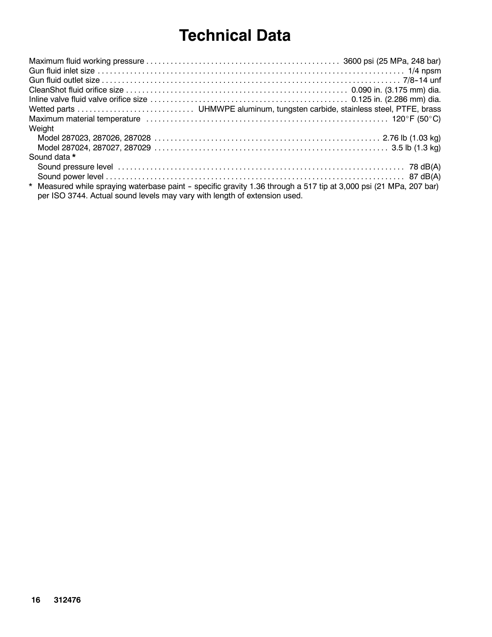# **Technical Data**

| Weight                                                                    |                                                                                                                    |
|---------------------------------------------------------------------------|--------------------------------------------------------------------------------------------------------------------|
|                                                                           |                                                                                                                    |
|                                                                           |                                                                                                                    |
| Sound data *                                                              |                                                                                                                    |
|                                                                           |                                                                                                                    |
|                                                                           |                                                                                                                    |
| per ISO 3744. Actual sound levels may vary with length of extension used. | * Measured while spraying waterbase paint - specific gravity 1.36 through a 517 tip at 3,000 psi (21 MPa, 207 bar) |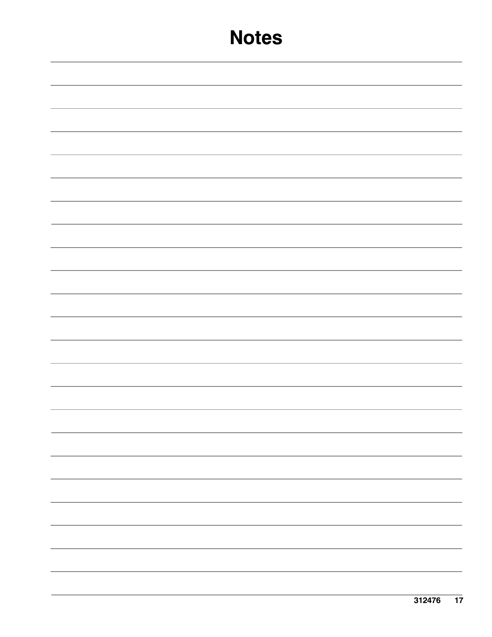# **Notes**

| - |
|---|
|   |